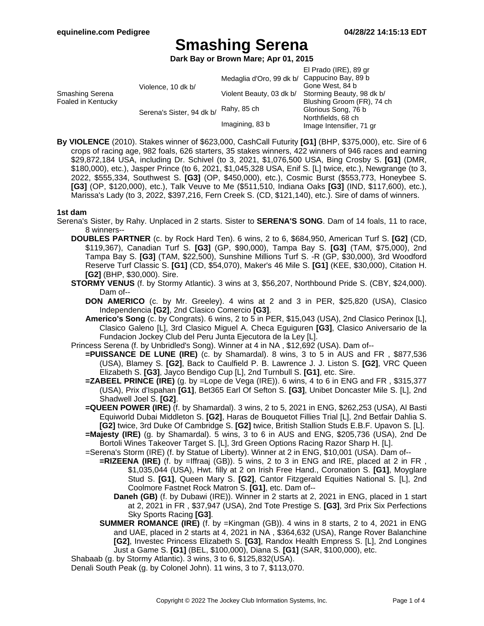**Dark Bay or Brown Mare; Apr 01, 2015**

|                                       |                           |                                              | El Prado (IRE), 89 gr                          |
|---------------------------------------|---------------------------|----------------------------------------------|------------------------------------------------|
| Smashing Serena<br>Foaled in Kentucky | Violence, 10 dk b/        | Medaglia d'Oro, 99 dk b/ Cappucino Bay, 89 b |                                                |
|                                       |                           |                                              | Gone West, 84 b                                |
|                                       |                           | Violent Beauty, 03 dk b/                     | Storming Beauty, 98 dk b/                      |
|                                       | Serena's Sister, 94 dk b/ | Rahy, 85 ch                                  | Blushing Groom (FR), 74 ch                     |
|                                       |                           |                                              | Glorious Song, 76 b                            |
|                                       |                           |                                              | Northfields, 68 ch<br>Image Intensifier, 71 gr |
|                                       |                           | Imagining, 83 b                              |                                                |
|                                       |                           |                                              |                                                |

**By VIOLENCE** (2010). Stakes winner of \$623,000, CashCall Futurity **[G1]** (BHP, \$375,000), etc. Sire of 6 crops of racing age, 982 foals, 626 starters, 35 stakes winners, 422 winners of 946 races and earning \$29,872,184 USA, including Dr. Schivel (to 3, 2021, \$1,076,500 USA, Bing Crosby S. **[G1]** (DMR, \$180,000), etc.), Jasper Prince (to 6, 2021, \$1,045,328 USA, Enif S. [L] twice, etc.), Newgrange (to 3, 2022, \$555,334, Southwest S. **[G3]** (OP, \$450,000), etc.), Cosmic Burst (\$553,773, Honeybee S. **[G3]** (OP, \$120,000), etc.), Talk Veuve to Me (\$511,510, Indiana Oaks **[G3]** (IND, \$117,600), etc.), Marissa's Lady (to 3, 2022, \$397,216, Fern Creek S. (CD, \$121,140), etc.). Sire of dams of winners.

#### **1st dam**

- Serena's Sister, by Rahy. Unplaced in 2 starts. Sister to **SERENA'S SONG**. Dam of 14 foals, 11 to race, 8 winners--
	- **DOUBLES PARTNER** (c. by Rock Hard Ten). 6 wins, 2 to 6, \$684,950, American Turf S. **[G2]** (CD, \$119,367), Canadian Turf S. **[G3]** (GP, \$90,000), Tampa Bay S. **[G3]** (TAM, \$75,000), 2nd Tampa Bay S. **[G3]** (TAM, \$22,500), Sunshine Millions Turf S. -R (GP, \$30,000), 3rd Woodford Reserve Turf Classic S. **[G1]** (CD, \$54,070), Maker's 46 Mile S. **[G1]** (KEE, \$30,000), Citation H. **[G2]** (BHP, \$30,000). Sire.
	- **STORMY VENUS** (f. by Stormy Atlantic). 3 wins at 3, \$56,207, Northbound Pride S. (CBY, \$24,000). Dam of--
		- **DON AMERICO** (c. by Mr. Greeley). 4 wins at 2 and 3 in PER, \$25,820 (USA), Clasico Independencia **[G2]**, 2nd Clasico Comercio **[G3]**.
		- **Americo's Song** (c. by Congrats). 6 wins, 2 to 5 in PER, \$15,043 (USA), 2nd Clasico Perinox [L], Clasico Galeno [L], 3rd Clasico Miguel A. Checa Eguiguren **[G3]**, Clasico Aniversario de la Fundacion Jockey Club del Peru Junta Ejecutora de la Ley [L].
	- Princess Serena (f. by Unbridled's Song). Winner at 4 in NA , \$12,692 (USA). Dam of--
		- **=PUISSANCE DE LUNE (IRE)** (c. by Shamardal). 8 wins, 3 to 5 in AUS and FR , \$877,536 (USA), Blamey S. **[G2]**, Back to Caulfield P. B. Lawrence J. J. Liston S. **[G2]**, VRC Queen Elizabeth S. **[G3]**, Jayco Bendigo Cup [L], 2nd Turnbull S. **[G1]**, etc. Sire.
		- **=ZABEEL PRINCE (IRE)** (g. by =Lope de Vega (IRE)). 6 wins, 4 to 6 in ENG and FR, \$315,377 (USA), Prix d'Ispahan **[G1]**, Bet365 Earl Of Sefton S. **[G3]**, Unibet Doncaster Mile S. [L], 2nd Shadwell Joel S. **[G2]**.
		- **=QUEEN POWER (IRE)** (f. by Shamardal). 3 wins, 2 to 5, 2021 in ENG, \$262,253 (USA), Al Basti Equiworld Dubai Middleton S. **[G2]**, Haras de Bouquetot Fillies Trial [L], 2nd Betfair Dahlia S. **[G2]** twice, 3rd Duke Of Cambridge S. **[G2]** twice, British Stallion Studs E.B.F. Upavon S. [L].
		- **=Majesty (IRE)** (g. by Shamardal). 5 wins, 3 to 6 in AUS and ENG, \$205,736 (USA), 2nd De Bortoli Wines Takeover Target S. [L], 3rd Green Options Racing Razor Sharp H. [L].
		- =Serena's Storm (IRE) (f. by Statue of Liberty). Winner at 2 in ENG, \$10,001 (USA). Dam of--
			- **=RIZEENA (IRE)** (f. by =Iffraaj (GB)). 5 wins, 2 to 3 in ENG and IRE, placed at 2 in FR , \$1,035,044 (USA), Hwt. filly at 2 on Irish Free Hand., Coronation S. **[G1]**, Moyglare Stud S. **[G1]**, Queen Mary S. **[G2]**, Cantor Fitzgerald Equities National S. [L], 2nd Coolmore Fastnet Rock Matron S. **[G1]**, etc. Dam of--
				- **Daneh (GB)** (f. by Dubawi (IRE)). Winner in 2 starts at 2, 2021 in ENG, placed in 1 start at 2, 2021 in FR , \$37,947 (USA), 2nd Tote Prestige S. **[G3]**, 3rd Prix Six Perfections Sky Sports Racing **[G3]**.
			- **SUMMER ROMANCE (IRE)** (f. by =Kingman (GB)). 4 wins in 8 starts, 2 to 4, 2021 in ENG and UAE, placed in 2 starts at 4, 2021 in NA , \$364,632 (USA), Range Rover Balanchine **[G2]**, Investec Princess Elizabeth S. **[G3]**, Randox Health Empress S. [L], 2nd Longines Just a Game S. **[G1]** (BEL, \$100,000), Diana S. **[G1]** (SAR, \$100,000), etc.
	- Shabaab (g. by Stormy Atlantic). 3 wins, 3 to 6, \$125,832(USA).

Denali South Peak (g. by Colonel John). 11 wins, 3 to 7, \$113,070.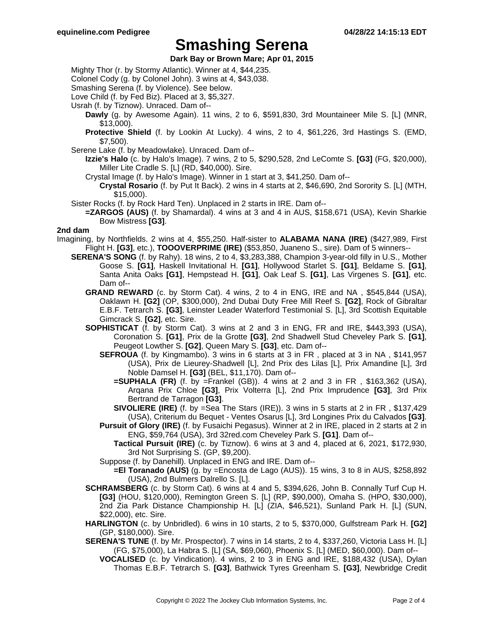**Dark Bay or Brown Mare; Apr 01, 2015**

Mighty Thor (r. by Stormy Atlantic). Winner at 4, \$44,235.

Colonel Cody (g. by Colonel John). 3 wins at 4, \$43,038.

Smashing Serena (f. by Violence). See below.

Love Child (f. by Fed Biz). Placed at 3, \$5,327.

Usrah (f. by Tiznow). Unraced. Dam of--

- **Dawly** (g. by Awesome Again). 11 wins, 2 to 6, \$591,830, 3rd Mountaineer Mile S. [L] (MNR, \$13,000).
- **Protective Shield** (f. by Lookin At Lucky). 4 wins, 2 to 4, \$61,226, 3rd Hastings S. (EMD, \$7,500).
- Serene Lake (f. by Meadowlake). Unraced. Dam of--
	- **Izzie's Halo** (c. by Halo's Image). 7 wins, 2 to 5, \$290,528, 2nd LeComte S. **[G3]** (FG, \$20,000), Miller Lite Cradle S. [L] (RD, \$40,000). Sire.
	- Crystal Image (f. by Halo's Image). Winner in 1 start at 3, \$41,250. Dam of--
		- **Crystal Rosario** (f. by Put It Back). 2 wins in 4 starts at 2, \$46,690, 2nd Sorority S. [L] (MTH, \$15,000).
- Sister Rocks (f. by Rock Hard Ten). Unplaced in 2 starts in IRE. Dam of--
- **=ZARGOS (AUS)** (f. by Shamardal). 4 wins at 3 and 4 in AUS, \$158,671 (USA), Kevin Sharkie Bow Mistress **[G3]**.

#### **2nd dam**

- Imagining, by Northfields. 2 wins at 4, \$55,250. Half-sister to **ALABAMA NANA (IRE)** (\$427,989, First Flight H. **[G3]**, etc.), **TOOOVERPRIME (IRE)** (\$53,850, Juaneno S., sire). Dam of 5 winners--
	- **SERENA'S SONG** (f. by Rahy). 18 wins, 2 to 4, \$3,283,388, Champion 3-year-old filly in U.S., Mother Goose S. **[G1]**, Haskell Invitational H. **[G1]**, Hollywood Starlet S. **[G1]**, Beldame S. **[G1]**, Santa Anita Oaks **[G1]**, Hempstead H. **[G1]**, Oak Leaf S. **[G1]**, Las Virgenes S. **[G1]**, etc. Dam of--
		- **GRAND REWARD** (c. by Storm Cat). 4 wins, 2 to 4 in ENG, IRE and NA , \$545,844 (USA), Oaklawn H. **[G2]** (OP, \$300,000), 2nd Dubai Duty Free Mill Reef S. **[G2]**, Rock of Gibraltar E.B.F. Tetrarch S. **[G3]**, Leinster Leader Waterford Testimonial S. [L], 3rd Scottish Equitable Gimcrack S. **[G2]**, etc. Sire.
		- **SOPHISTICAT** (f. by Storm Cat). 3 wins at 2 and 3 in ENG, FR and IRE, \$443,393 (USA), Coronation S. **[G1]**, Prix de la Grotte **[G3]**, 2nd Shadwell Stud Cheveley Park S. **[G1]**, Peugeot Lowther S. **[G2]**, Queen Mary S. **[G3]**, etc. Dam of--
			- **SEFROUA** (f. by Kingmambo). 3 wins in 6 starts at 3 in FR , placed at 3 in NA , \$141,957 (USA), Prix de Lieurey-Shadwell [L], 2nd Prix des Lilas [L], Prix Amandine [L], 3rd Noble Damsel H. **[G3]** (BEL, \$11,170). Dam of--
				- **=SUPHALA (FR)** (f. by =Frankel (GB)). 4 wins at 2 and 3 in FR , \$163,362 (USA), Arqana Prix Chloe **[G3]**, Prix Volterra [L], 2nd Prix Imprudence **[G3]**, 3rd Prix Bertrand de Tarragon **[G3]**.
				- **SIVOLIERE (IRE)** (f. by =Sea The Stars (IRE)). 3 wins in 5 starts at 2 in FR , \$137,429 (USA), Criterium du Bequet - Ventes Osarus [L], 3rd Longines Prix du Calvados **[G3]**.
			- **Pursuit of Glory (IRE)** (f. by Fusaichi Pegasus). Winner at 2 in IRE, placed in 2 starts at 2 in ENG, \$59,764 (USA), 3rd 32red.com Cheveley Park S. **[G1]**. Dam of--
				- **Tactical Pursuit (IRE)** (c. by Tiznow). 6 wins at 3 and 4, placed at 6, 2021, \$172,930, 3rd Not Surprising S. (GP, \$9,200).

Suppose (f. by Danehill). Unplaced in ENG and IRE. Dam of--

**=El Toranado (AUS)** (g. by =Encosta de Lago (AUS)). 15 wins, 3 to 8 in AUS, \$258,892 (USA), 2nd Bulmers Dalrello S. [L].

- **SCHRAMSBERG** (c. by Storm Cat). 6 wins at 4 and 5, \$394,626, John B. Connally Turf Cup H. **[G3]** (HOU, \$120,000), Remington Green S. [L] (RP, \$90,000), Omaha S. (HPO, \$30,000), 2nd Zia Park Distance Championship H. [L] (ZIA, \$46,521), Sunland Park H. [L] (SUN, \$22,000), etc. Sire.
- **HARLINGTON** (c. by Unbridled). 6 wins in 10 starts, 2 to 5, \$370,000, Gulfstream Park H. **[G2]** (GP, \$180,000). Sire.
- **SERENA'S TUNE** (f. by Mr. Prospector). 7 wins in 14 starts, 2 to 4, \$337,260, Victoria Lass H. [L] (FG, \$75,000), La Habra S. [L] (SA, \$69,060), Phoenix S. [L] (MED, \$60,000). Dam of--
	- **VOCALISED** (c. by Vindication). 4 wins, 2 to 3 in ENG and IRE, \$188,432 (USA), Dylan Thomas E.B.F. Tetrarch S. **[G3]**, Bathwick Tyres Greenham S. **[G3]**, Newbridge Credit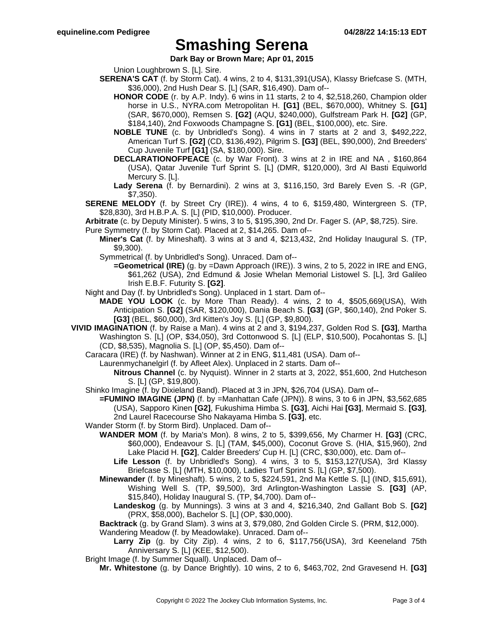**Dark Bay or Brown Mare; Apr 01, 2015**

Union Loughbrown S. [L]. Sire.

- **SERENA'S CAT** (f. by Storm Cat). 4 wins, 2 to 4, \$131,391(USA), Klassy Briefcase S. (MTH, \$36,000), 2nd Hush Dear S. [L] (SAR, \$16,490). Dam of--
	- **HONOR CODE** (r. by A.P. Indy). 6 wins in 11 starts, 2 to 4, \$2,518,260, Champion older horse in U.S., NYRA.com Metropolitan H. **[G1]** (BEL, \$670,000), Whitney S. **[G1]** (SAR, \$670,000), Remsen S. **[G2]** (AQU, \$240,000), Gulfstream Park H. **[G2]** (GP, \$184,140), 2nd Foxwoods Champagne S. **[G1]** (BEL, \$100,000), etc. Sire.
	- **NOBLE TUNE** (c. by Unbridled's Song). 4 wins in 7 starts at 2 and 3, \$492,222, American Turf S. **[G2]** (CD, \$136,492), Pilgrim S. **[G3]** (BEL, \$90,000), 2nd Breeders' Cup Juvenile Turf **[G1]** (SA, \$180,000). Sire.
	- **DECLARATIONOFPEACE** (c. by War Front). 3 wins at 2 in IRE and NA , \$160,864 (USA), Qatar Juvenile Turf Sprint S. [L] (DMR, \$120,000), 3rd Al Basti Equiworld Mercury S. [L].
	- **Lady Serena** (f. by Bernardini). 2 wins at 3, \$116,150, 3rd Barely Even S. -R (GP, \$7,350).
- **SERENE MELODY** (f. by Street Cry (IRE)). 4 wins, 4 to 6, \$159,480, Wintergreen S. (TP, \$28,830), 3rd H.B.P.A. S. [L] (PID, \$10,000). Producer.
- **Arbitrate** (c. by Deputy Minister). 5 wins, 3 to 5, \$195,390, 2nd Dr. Fager S. (AP, \$8,725). Sire.
- Pure Symmetry (f. by Storm Cat). Placed at 2, \$14,265. Dam of--
	- **Miner's Cat** (f. by Mineshaft). 3 wins at 3 and 4, \$213,432, 2nd Holiday Inaugural S. (TP, \$9,300).
	- Symmetrical (f. by Unbridled's Song). Unraced. Dam of--
		- **=Geometrical (IRE)** (g. by =Dawn Approach (IRE)). 3 wins, 2 to 5, 2022 in IRE and ENG, \$61,262 (USA), 2nd Edmund & Josie Whelan Memorial Listowel S. [L], 3rd Galileo Irish E.B.F. Futurity S. **[G2]**.
- Night and Day (f. by Unbridled's Song). Unplaced in 1 start. Dam of--
	- **MADE YOU LOOK** (c. by More Than Ready). 4 wins, 2 to 4, \$505,669(USA), With Anticipation S. **[G2]** (SAR, \$120,000), Dania Beach S. **[G3]** (GP, \$60,140), 2nd Poker S. **[G3]** (BEL, \$60,000), 3rd Kitten's Joy S. [L] (GP, \$9,800).
- **VIVID IMAGINATION** (f. by Raise a Man). 4 wins at 2 and 3, \$194,237, Golden Rod S. **[G3]**, Martha Washington S. [L] (OP, \$34,050), 3rd Cottonwood S. [L] (ELP, \$10,500), Pocahontas S. [L] (CD, \$8,535), Magnolia S. [L] (OP, \$5,450). Dam of--
	- Caracara (IRE) (f. by Nashwan). Winner at 2 in ENG, \$11,481 (USA). Dam of--
		- Laurenmychanelgirl (f. by Afleet Alex). Unplaced in 2 starts. Dam of--
			- **Nitrous Channel** (c. by Nyquist). Winner in 2 starts at 3, 2022, \$51,600, 2nd Hutcheson S. [L] (GP, \$19,800).
	- Shinko Imagine (f. by Dixieland Band). Placed at 3 in JPN, \$26,704 (USA). Dam of--
		- **=FUMINO IMAGINE (JPN)** (f. by =Manhattan Cafe (JPN)). 8 wins, 3 to 6 in JPN, \$3,562,685 (USA), Sapporo Kinen **[G2]**, Fukushima Himba S. **[G3]**, Aichi Hai **[G3]**, Mermaid S. **[G3]**, 2nd Laurel Racecourse Sho Nakayama Himba S. **[G3]**, etc.
	- Wander Storm (f. by Storm Bird). Unplaced. Dam of--
		- **WANDER MOM** (f. by Maria's Mon). 8 wins, 2 to 5, \$399,656, My Charmer H. **[G3]** (CRC, \$60,000), Endeavour S. [L] (TAM, \$45,000), Coconut Grove S. (HIA, \$15,960), 2nd Lake Placid H. **[G2]**, Calder Breeders' Cup H. [L] (CRC, \$30,000), etc. Dam of--
			- **Life Lesson** (f. by Unbridled's Song). 4 wins, 3 to 5, \$153,127(USA), 3rd Klassy Briefcase S. [L] (MTH, \$10,000), Ladies Turf Sprint S. [L] (GP, \$7,500).
		- **Minewander** (f. by Mineshaft). 5 wins, 2 to 5, \$224,591, 2nd Ma Kettle S. [L] (IND, \$15,691), Wishing Well S. (TP, \$9,500), 3rd Arlington-Washington Lassie S. **[G3]** (AP, \$15,840), Holiday Inaugural S. (TP, \$4,700). Dam of--
			- **Landeskog** (g. by Munnings). 3 wins at 3 and 4, \$216,340, 2nd Gallant Bob S. **[G2]** (PRX, \$58,000), Bachelor S. [L] (OP, \$30,000).
		- **Backtrack** (g. by Grand Slam). 3 wins at 3, \$79,080, 2nd Golden Circle S. (PRM, \$12,000).

Wandering Meadow (f. by Meadowlake). Unraced. Dam of--

**Larry Zip** (g. by City Zip). 4 wins, 2 to 6, \$117,756(USA), 3rd Keeneland 75th Anniversary S. [L] (KEE, \$12,500).

Bright Image (f. by Summer Squall). Unplaced. Dam of--

**Mr. Whitestone** (g. by Dance Brightly). 10 wins, 2 to 6, \$463,702, 2nd Gravesend H. **[G3]**